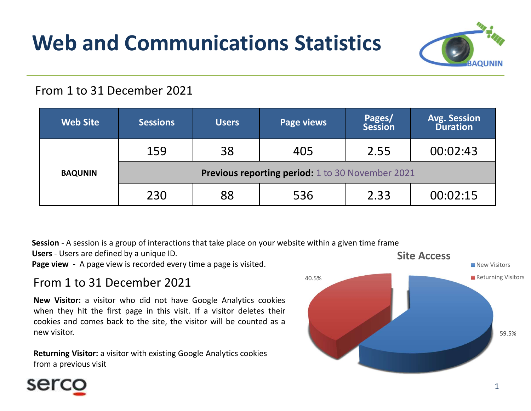# Web and Communications Statistics



### From 1 to 31 December 2021

| Pages/<br><b>Web Site</b><br><b>Sessions</b><br><b>Page views</b><br><b>Users</b><br><b>Session</b><br>159<br>38<br>405<br>2.55<br><b>Previous reporting period:</b> 1 to 30 November 2021<br><b>BAQUNIN</b><br>230<br>88<br>536<br>2.33                                                | <b>Avg. Session</b><br><b>Duration</b> |
|-----------------------------------------------------------------------------------------------------------------------------------------------------------------------------------------------------------------------------------------------------------------------------------------|----------------------------------------|
|                                                                                                                                                                                                                                                                                         |                                        |
|                                                                                                                                                                                                                                                                                         | 00:02:43                               |
|                                                                                                                                                                                                                                                                                         |                                        |
|                                                                                                                                                                                                                                                                                         | 00:02:15                               |
| Session - A session is a group of interactions that take place on your website within a given time frame<br>Users - Users are defined by a unique ID.<br><b>Site Access</b><br>Page view - A page view is recorded every time a page is visited.<br>40.5%<br>From 1 to 31 December 2021 | New Visitors<br>Returning Visitors     |

## From 1 to 31 December 2021

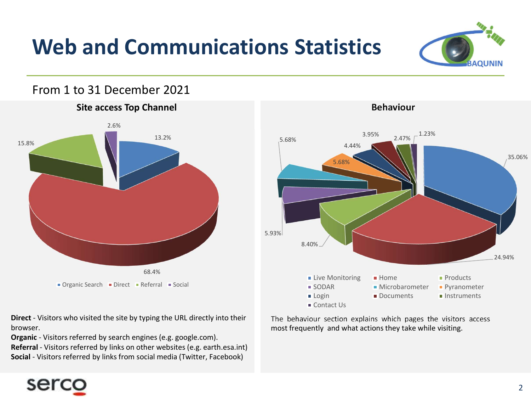## Web and Communications Statistics

#### From 1 to 31 December 2021





browser.